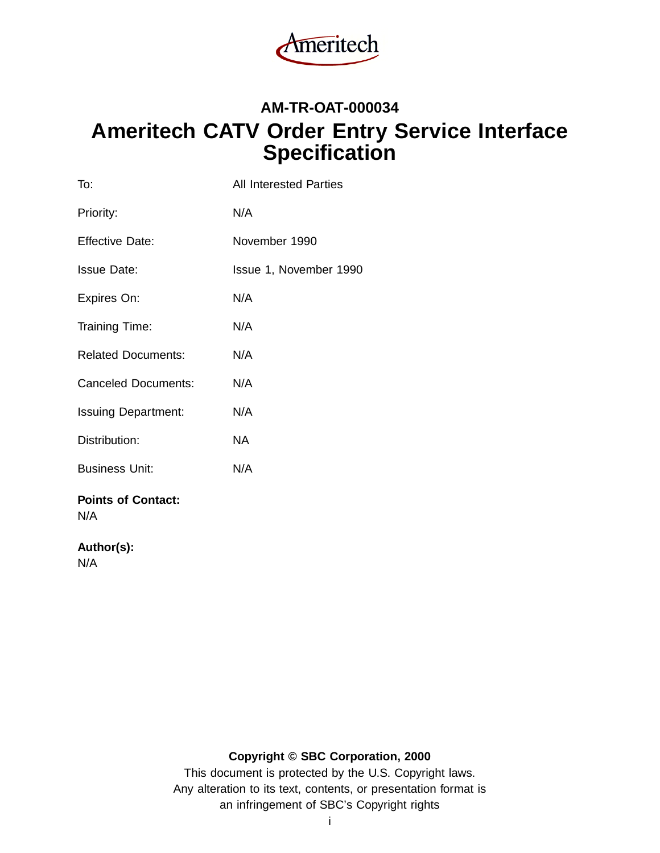

# **AM-TR-OAT-000034 Ameritech CATV Order Entry Service Interface Specification**

| To:                              | <b>All Interested Parties</b> |
|----------------------------------|-------------------------------|
| Priority:                        | N/A                           |
| <b>Effective Date:</b>           | November 1990                 |
| <b>Issue Date:</b>               | Issue 1, November 1990        |
| Expires On:                      | N/A                           |
| Training Time:                   | N/A                           |
| <b>Related Documents:</b>        | N/A                           |
| <b>Canceled Documents:</b>       | N/A                           |
| <b>Issuing Department:</b>       | N/A                           |
| Distribution:                    | NA.                           |
| <b>Business Unit:</b>            | N/A                           |
| <b>Points of Contact:</b><br>N/A |                               |

## **Author(s):**

N/A

# **Copyright © SBC Corporation, 2000**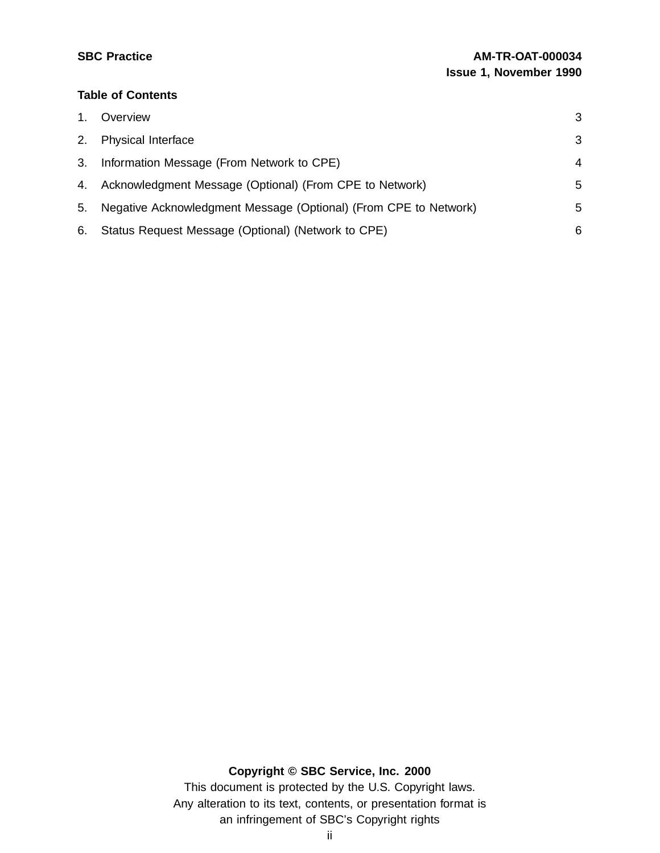## **Table of Contents**

| 1. | Overview                                                         | 3 |
|----|------------------------------------------------------------------|---|
| 2. | <b>Physical Interface</b>                                        | 3 |
| 3. | Information Message (From Network to CPE)                        | 4 |
| 4. | Acknowledgment Message (Optional) (From CPE to Network)          | 5 |
| 5. | Negative Acknowledgment Message (Optional) (From CPE to Network) | 5 |
| 6. | Status Request Message (Optional) (Network to CPE)               | 6 |

**Copyright © SBC Service, Inc. 2000**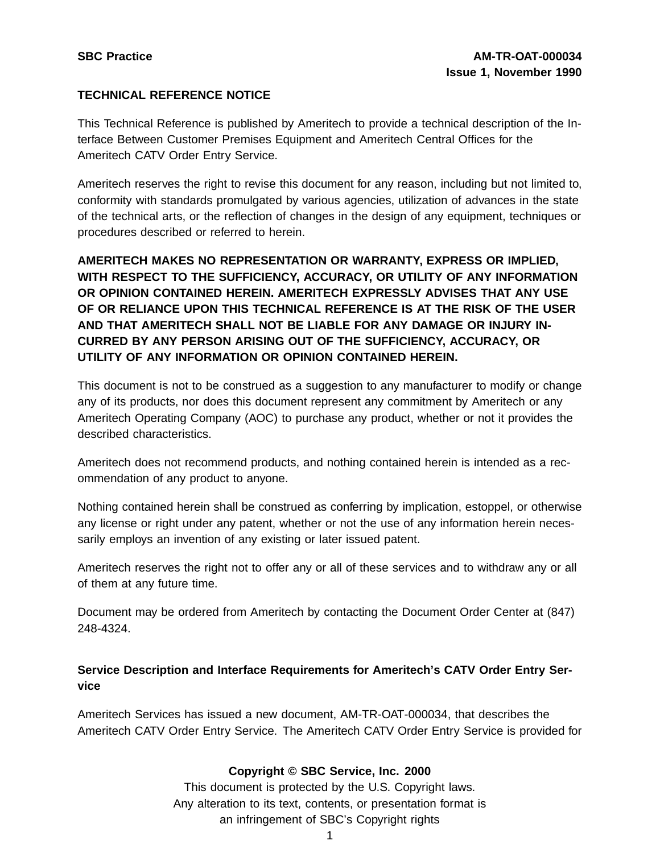## **TECHNICAL REFERENCE NOTICE**

This Technical Reference is published by Ameritech to provide a technical description of the Interface Between Customer Premises Equipment and Ameritech Central Offices for the Ameritech CATV Order Entry Service.

Ameritech reserves the right to revise this document for any reason, including but not limited to, conformity with standards promulgated by various agencies, utilization of advances in the state of the technical arts, or the reflection of changes in the design of any equipment, techniques or procedures described or referred to herein.

**AMERITECH MAKES NO REPRESENTATION OR WARRANTY, EXPRESS OR IMPLIED, WITH RESPECT TO THE SUFFICIENCY, ACCURACY, OR UTILITY OF ANY INFORMATION OR OPINION CONTAINED HEREIN. AMERITECH EXPRESSLY ADVISES THAT ANY USE OF OR RELIANCE UPON THIS TECHNICAL REFERENCE IS AT THE RISK OF THE USER AND THAT AMERITECH SHALL NOT BE LIABLE FOR ANY DAMAGE OR INJURY IN-CURRED BY ANY PERSON ARISING OUT OF THE SUFFICIENCY, ACCURACY, OR UTILITY OF ANY INFORMATION OR OPINION CONTAINED HEREIN.**

This document is not to be construed as a suggestion to any manufacturer to modify or change any of its products, nor does this document represent any commitment by Ameritech or any Ameritech Operating Company (AOC) to purchase any product, whether or not it provides the described characteristics.

Ameritech does not recommend products, and nothing contained herein is intended as a recommendation of any product to anyone.

Nothing contained herein shall be construed as conferring by implication, estoppel, or otherwise any license or right under any patent, whether or not the use of any information herein necessarily employs an invention of any existing or later issued patent.

Ameritech reserves the right not to offer any or all of these services and to withdraw any or all of them at any future time.

Document may be ordered from Ameritech by contacting the Document Order Center at (847) 248-4324.

## **Service Description and Interface Requirements for Ameritech's CATV Order Entry Service**

Ameritech Services has issued a new document, AM-TR-OAT-000034, that describes the Ameritech CATV Order Entry Service. The Ameritech CATV Order Entry Service is provided for

## **Copyright © SBC Service, Inc. 2000**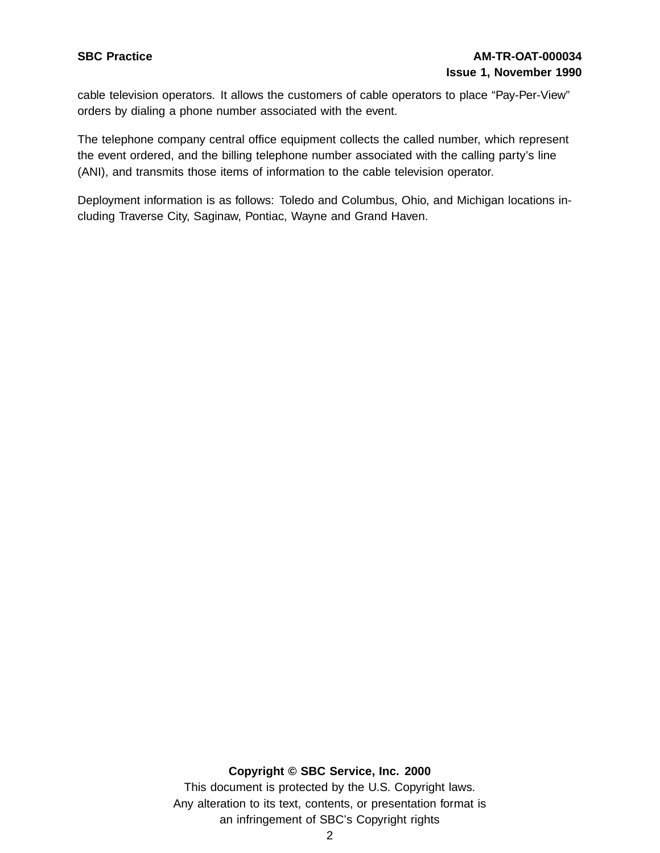# **SBC Practice AM-TR-OAT-000034 Issue 1, November 1990**

cable television operators. It allows the customers of cable operators to place "Pay-Per-View" orders by dialing a phone number associated with the event.

The telephone company central office equipment collects the called number, which represent the event ordered, and the billing telephone number associated with the calling party's line (ANI), and transmits those items of information to the cable television operator.

Deployment information is as follows: Toledo and Columbus, Ohio, and Michigan locations including Traverse City, Saginaw, Pontiac, Wayne and Grand Haven.

#### **Copyright © SBC Service, Inc. 2000**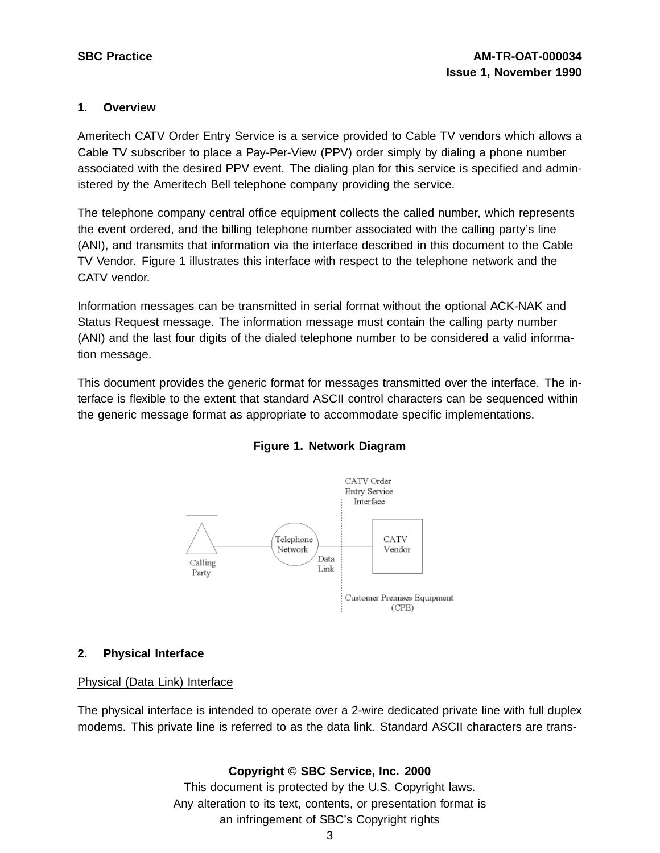#### **1. Overview**

Ameritech CATV Order Entry Service is a service provided to Cable TV vendors which allows a Cable TV subscriber to place a Pay-Per-View (PPV) order simply by dialing a phone number associated with the desired PPV event. The dialing plan for this service is specified and administered by the Ameritech Bell telephone company providing the service.

The telephone company central office equipment collects the called number, which represents the event ordered, and the billing telephone number associated with the calling party's line (ANI), and transmits that information via the interface described in this document to the Cable TV Vendor. Figure 1 illustrates this interface with respect to the telephone network and the CATV vendor.

Information messages can be transmitted in serial format without the optional ACK-NAK and Status Request message. The information message must contain the calling party number (ANI) and the last four digits of the dialed telephone number to be considered a valid information message.

This document provides the generic format for messages transmitted over the interface. The interface is flexible to the extent that standard ASCII control characters can be sequenced within the generic message format as appropriate to accommodate specific implementations.



#### **Figure 1. Network Diagram**

#### **2. Physical Interface**

#### Physical (Data Link) Interface

The physical interface is intended to operate over a 2-wire dedicated private line with full duplex modems. This private line is referred to as the data link. Standard ASCII characters are trans-

#### **Copyright © SBC Service, Inc. 2000**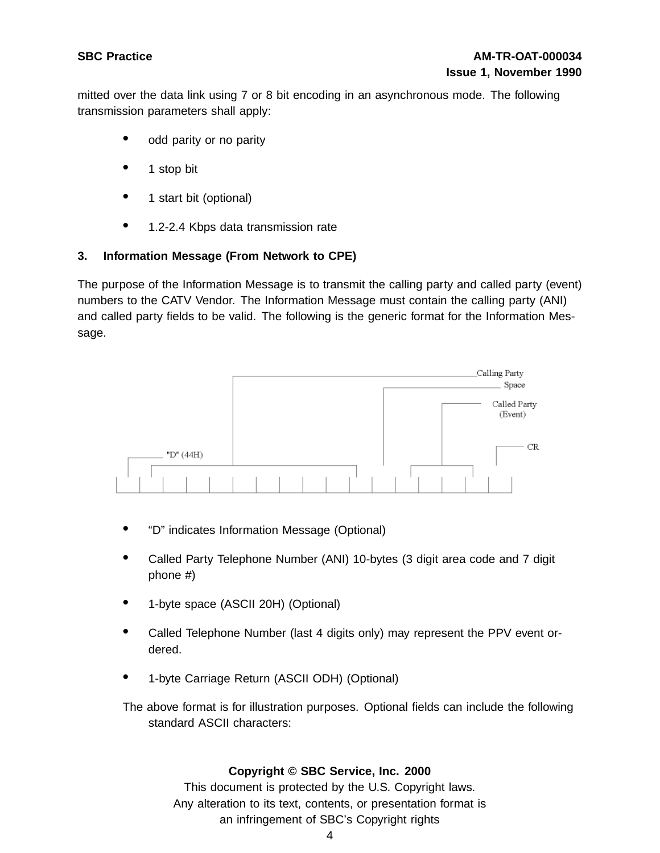mitted over the data link using 7 or 8 bit encoding in an asynchronous mode. The following transmission parameters shall apply:

- odd parity or no parity
- 1 stop bit
- <sup>1</sup> start bit (optional)
- 1.2-2.4 Kbps data transmission rate

## **3. Information Message (From Network to CPE)**

The purpose of the Information Message is to transmit the calling party and called party (event) numbers to the CATV Vendor. The Information Message must contain the calling party (ANI) and called party fields to be valid. The following is the generic format for the Information Message.



- "D" indicates Information Message (Optional)
- Called Party Telephone Number (ANI) 10-bytes (3 digit area code and <sup>7</sup> digit phone #)
- 1-byte space (ASCII 20H) (Optional)
- Called Telephone Number (last <sup>4</sup> digits only) may represent the PPV event ordered.
- 1-byte Carriage Return (ASCII ODH) (Optional)

The above format is for illustration purposes. Optional fields can include the following standard ASCII characters:

#### **Copyright © SBC Service, Inc. 2000**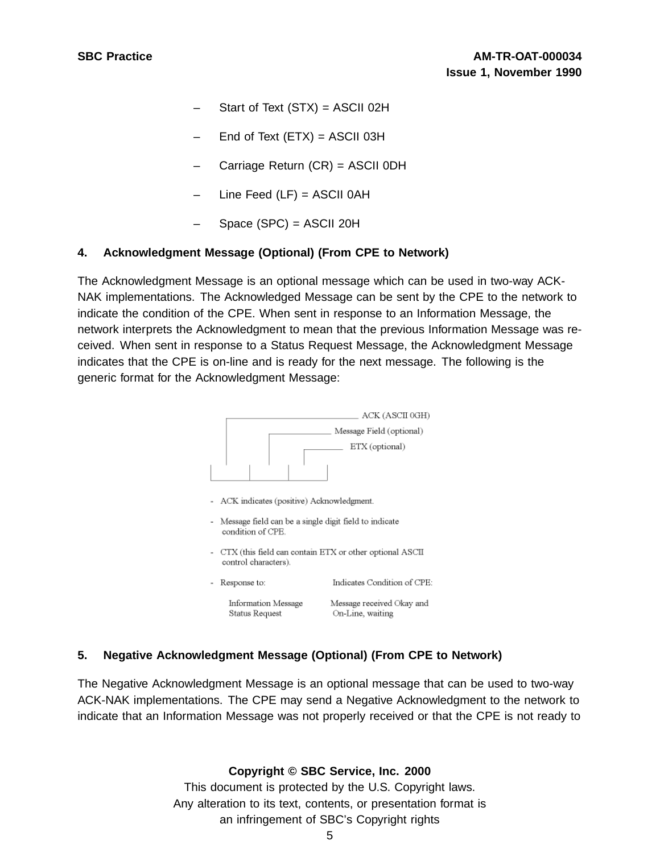- Start of Text  $(STX) = ASCII$  02H
- End of Text  $(ETX) = ASCII$  03H
- Carriage Return (CR) = ASCII 0DH
- Line Feed  $(LF) = ASCII$  OAH
- Space (SPC) = ASCII 20H

#### **4. Acknowledgment Message (Optional) (From CPE to Network)**

The Acknowledgment Message is an optional message which can be used in two-way ACK-NAK implementations. The Acknowledged Message can be sent by the CPE to the network to indicate the condition of the CPE. When sent in response to an Information Message, the network interprets the Acknowledgment to mean that the previous Information Message was received. When sent in response to a Status Request Message, the Acknowledgment Message indicates that the CPE is on-line and is ready for the next message. The following is the generic format for the Acknowledgment Message:



#### **5. Negative Acknowledgment Message (Optional) (From CPE to Network)**

The Negative Acknowledgment Message is an optional message that can be used to two-way ACK-NAK implementations. The CPE may send a Negative Acknowledgment to the network to indicate that an Information Message was not properly received or that the CPE is not ready to

**Copyright © SBC Service, Inc. 2000**